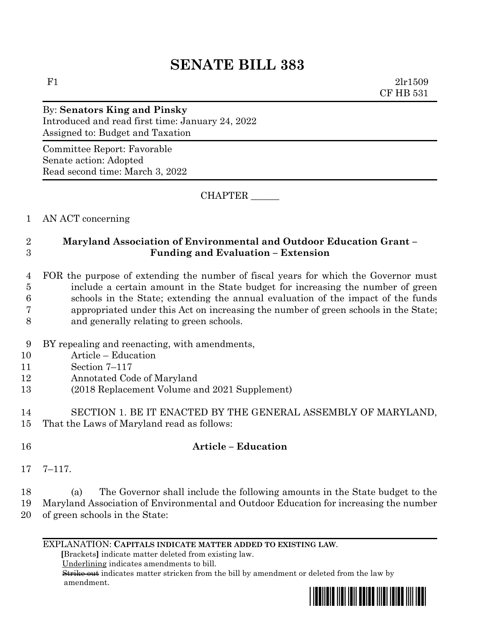# **SENATE BILL 383**

F1  $2\ln 1509$ CF HB 531

## By: **Senators King and Pinsky** Introduced and read first time: January 24, 2022 Assigned to: Budget and Taxation

Committee Report: Favorable Senate action: Adopted Read second time: March 3, 2022

CHAPTER \_\_\_\_\_\_

## 1 AN ACT concerning

## 2 **Maryland Association of Environmental and Outdoor Education Grant –** 3 **Funding and Evaluation – Extension**

### 4 FOR the purpose of extending the number of fiscal years for which the Governor must 5 include a certain amount in the State budget for increasing the number of green 6 schools in the State; extending the annual evaluation of the impact of the funds 7 appropriated under this Act on increasing the number of green schools in the State; 8 and generally relating to green schools.

- 9 BY repealing and reenacting, with amendments,
- 10 Article Education
- 11 Section 7–117
- 12 Annotated Code of Maryland
- 13 (2018 Replacement Volume and 2021 Supplement)

14 SECTION 1. BE IT ENACTED BY THE GENERAL ASSEMBLY OF MARYLAND, 15 That the Laws of Maryland read as follows:

## 16 **Article – Education**

17 7–117.

#### 18 (a) The Governor shall include the following amounts in the State budget to the 19 Maryland Association of Environmental and Outdoor Education for increasing the number 20 of green schools in the State:

#### EXPLANATION: **CAPITALS INDICATE MATTER ADDED TO EXISTING LAW**.

 **[**Brackets**]** indicate matter deleted from existing law.

Underlining indicates amendments to bill.

 Strike out indicates matter stricken from the bill by amendment or deleted from the law by amendment.

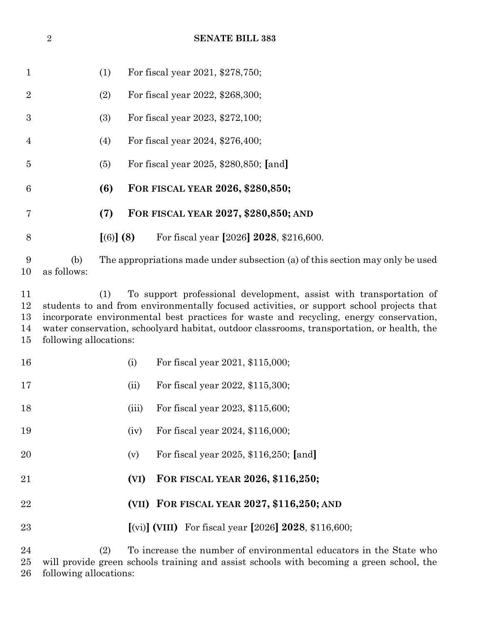|                            | $\overline{2}$                                                                                                                                                                                                                                                                                                                                                                          |           |                                                                               | <b>SENATE BILL 383</b>                                             |  |  |
|----------------------------|-----------------------------------------------------------------------------------------------------------------------------------------------------------------------------------------------------------------------------------------------------------------------------------------------------------------------------------------------------------------------------------------|-----------|-------------------------------------------------------------------------------|--------------------------------------------------------------------|--|--|
| $\mathbf 1$                |                                                                                                                                                                                                                                                                                                                                                                                         | (1)       |                                                                               | For fiscal year 2021, \$278,750;                                   |  |  |
| $\overline{2}$             |                                                                                                                                                                                                                                                                                                                                                                                         | (2)       |                                                                               | For fiscal year 2022, \$268,300;                                   |  |  |
| 3                          |                                                                                                                                                                                                                                                                                                                                                                                         | (3)       |                                                                               | For fiscal year 2023, \$272,100;                                   |  |  |
| $\overline{4}$             |                                                                                                                                                                                                                                                                                                                                                                                         | (4)       |                                                                               | For fiscal year 2024, \$276,400;                                   |  |  |
| $\overline{5}$             |                                                                                                                                                                                                                                                                                                                                                                                         | (5)       |                                                                               | For fiscal year 2025, \$280,850; [and]                             |  |  |
| 6                          |                                                                                                                                                                                                                                                                                                                                                                                         | (6)       |                                                                               | FOR FISCAL YEAR 2026, \$280,850;                                   |  |  |
| 7                          |                                                                                                                                                                                                                                                                                                                                                                                         | (7)       |                                                                               | FOR FISCAL YEAR 2027, \$280,850; AND                               |  |  |
| 8                          |                                                                                                                                                                                                                                                                                                                                                                                         | [(6)] (8) |                                                                               | For fiscal year [2026] 2028, \$216,600.                            |  |  |
| 9<br>10                    | (b)<br>as follows:                                                                                                                                                                                                                                                                                                                                                                      |           | The appropriations made under subsection (a) of this section may only be used |                                                                    |  |  |
| 11<br>12<br>13<br>14<br>15 | To support professional development, assist with transportation of<br>(1)<br>students to and from environmentally focused activities, or support school projects that<br>incorporate environmental best practices for waste and recycling, energy conservation,<br>water conservation, schoolyard habitat, outdoor classrooms, transportation, or health, the<br>following allocations: |           |                                                                               |                                                                    |  |  |
| 16                         |                                                                                                                                                                                                                                                                                                                                                                                         |           | (i)                                                                           | For fiscal year 2021, \$115,000;                                   |  |  |
| 17                         |                                                                                                                                                                                                                                                                                                                                                                                         |           | (ii)                                                                          | For fiscal year 2022, \$115,300;                                   |  |  |
| 18                         |                                                                                                                                                                                                                                                                                                                                                                                         |           | (iii)                                                                         | For fiscal year 2023, \$115,600;                                   |  |  |
| 19                         |                                                                                                                                                                                                                                                                                                                                                                                         |           | (iv)                                                                          | For fiscal year 2024, \$116,000;                                   |  |  |
| 20                         |                                                                                                                                                                                                                                                                                                                                                                                         |           | (v)                                                                           | For fiscal year 2025, \$116,250; [and]                             |  |  |
| 21                         |                                                                                                                                                                                                                                                                                                                                                                                         |           | (VI)                                                                          | FOR FISCAL YEAR 2026, \$116,250;                                   |  |  |
| 22                         |                                                                                                                                                                                                                                                                                                                                                                                         |           |                                                                               | (VII) FOR FISCAL YEAR 2027, \$116,250; AND                         |  |  |
| 23                         |                                                                                                                                                                                                                                                                                                                                                                                         |           |                                                                               | [(vi)] (VIII) For fiscal year [2026] $2028$ , \$116,600;           |  |  |
| $\Omega$ $\Lambda$         |                                                                                                                                                                                                                                                                                                                                                                                         | (9)       |                                                                               | To increase the number of environmental educators in the State who |  |  |

 (2) To increase the number of environmental educators in the State who will provide green schools training and assist schools with becoming a green school, the following allocations: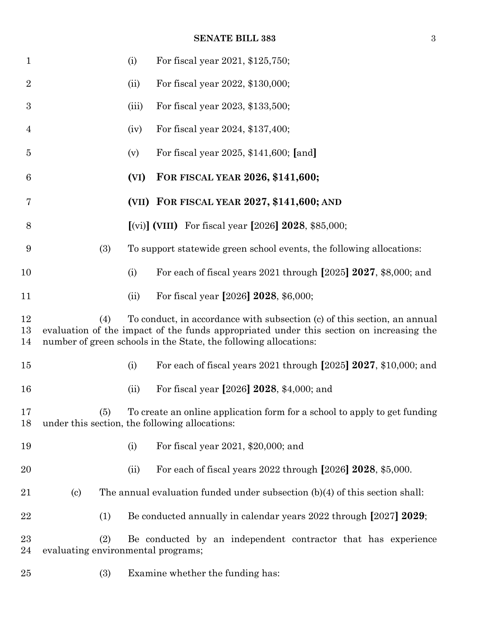#### **SENATE BILL 383** 3

| $\mathbf{1}$   |                                                                                                                                                                                                                                                | (i)   | For fiscal year 2021, \$125,750;                                            |  |  |
|----------------|------------------------------------------------------------------------------------------------------------------------------------------------------------------------------------------------------------------------------------------------|-------|-----------------------------------------------------------------------------|--|--|
| $\overline{2}$ |                                                                                                                                                                                                                                                | (ii)  | For fiscal year 2022, \$130,000;                                            |  |  |
| 3              |                                                                                                                                                                                                                                                | (iii) | For fiscal year 2023, \$133,500;                                            |  |  |
| 4              |                                                                                                                                                                                                                                                | (iv)  | For fiscal year 2024, \$137,400;                                            |  |  |
| $\overline{5}$ |                                                                                                                                                                                                                                                | (v)   | For fiscal year 2025, \$141,600; [and]                                      |  |  |
| 6              |                                                                                                                                                                                                                                                | (VI)  | FOR FISCAL YEAR 2026, \$141,600;                                            |  |  |
| 7              |                                                                                                                                                                                                                                                |       | (VII) FOR FISCAL YEAR 2027, \$141,600; AND                                  |  |  |
| 8              |                                                                                                                                                                                                                                                |       | [(vi)] (VIII) For fiscal year [2026] $2028$ , \$85,000;                     |  |  |
| 9              | (3)                                                                                                                                                                                                                                            |       | To support statewide green school events, the following allocations:        |  |  |
| 10             |                                                                                                                                                                                                                                                | (i)   | For each of fiscal years 2021 through [2025] 2027, \$8,000; and             |  |  |
| 11             |                                                                                                                                                                                                                                                | (ii)  | For fiscal year [2026] 2028, \$6,000;                                       |  |  |
| 12<br>13<br>14 | (4)<br>To conduct, in accordance with subsection (c) of this section, an annual<br>evaluation of the impact of the funds appropriated under this section on increasing the<br>number of green schools in the State, the following allocations: |       |                                                                             |  |  |
| $15\,$         |                                                                                                                                                                                                                                                | (i)   | For each of fiscal years 2021 through [2025] 2027, \$10,000; and            |  |  |
| 16             |                                                                                                                                                                                                                                                | (ii)  | For fiscal year [2026] 2028, \$4,000; and                                   |  |  |
| 17<br>18       | (5)<br>under this section, the following allocations:                                                                                                                                                                                          |       | To create an online application form for a school to apply to get funding   |  |  |
| 19             |                                                                                                                                                                                                                                                | (i)   | For fiscal year 2021, \$20,000; and                                         |  |  |
| 20             |                                                                                                                                                                                                                                                | (ii)  | For each of fiscal years 2022 through [2026] 2028, \$5,000.                 |  |  |
| 21             | $\left( \mathrm{c}\right)$                                                                                                                                                                                                                     |       | The annual evaluation funded under subsection (b)(4) of this section shall: |  |  |
| 22             | (1)                                                                                                                                                                                                                                            |       | Be conducted annually in calendar years 2022 through [2027] 2029;           |  |  |
| 23<br>24       | (2)<br>evaluating environmental programs;                                                                                                                                                                                                      |       | Be conducted by an independent contractor that has experience               |  |  |
| $25\,$         | (3)                                                                                                                                                                                                                                            |       | Examine whether the funding has:                                            |  |  |